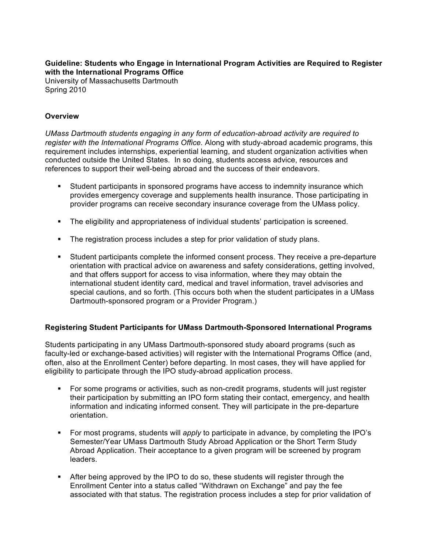**Guideline: Students who Engage in International Program Activities are Required to Register with the International Programs Office**

University of Massachusetts Dartmouth Spring 2010

## **Overview**

*UMass Dartmouth students engaging in any form of education-abroad activity are required to register with the International Programs Office.* Along with study-abroad academic programs, this requirement includes internships, experiential learning, and student organization activities when conducted outside the United States. In so doing, students access advice, resources and references to support their well-being abroad and the success of their endeavors.

- **•** Student participants in sponsored programs have access to indemnity insurance which provides emergency coverage and supplements health insurance. Those participating in provider programs can receive secondary insurance coverage from the UMass policy.
- The eligibility and appropriateness of individual students' participation is screened.
- The registration process includes a step for prior validation of study plans.
- § Student participants complete the informed consent process. They receive a pre-departure orientation with practical advice on awareness and safety considerations, getting involved, and that offers support for access to visa information, where they may obtain the international student identity card, medical and travel information, travel advisories and special cautions, and so forth. (This occurs both when the student participates in a UMass Dartmouth-sponsored program or a Provider Program.)

## **Registering Student Participants for UMass Dartmouth-Sponsored International Programs**

Students participating in any UMass Dartmouth-sponsored study aboard programs (such as faculty-led or exchange-based activities) will register with the International Programs Office (and, often, also at the Enrollment Center) before departing. In most cases, they will have applied for eligibility to participate through the IPO study-abroad application process.

- § For some programs or activities, such as non-credit programs, students will just register their participation by submitting an IPO form stating their contact, emergency, and health information and indicating informed consent. They will participate in the pre-departure orientation.
- § For most programs, students will *apply* to participate in advance, by completing the IPO's Semester/Year UMass Dartmouth Study Abroad Application or the Short Term Study Abroad Application. Their acceptance to a given program will be screened by program leaders.
- After being approved by the IPO to do so, these students will register through the Enrollment Center into a status called "Withdrawn on Exchange" and pay the fee associated with that status. The registration process includes a step for prior validation of